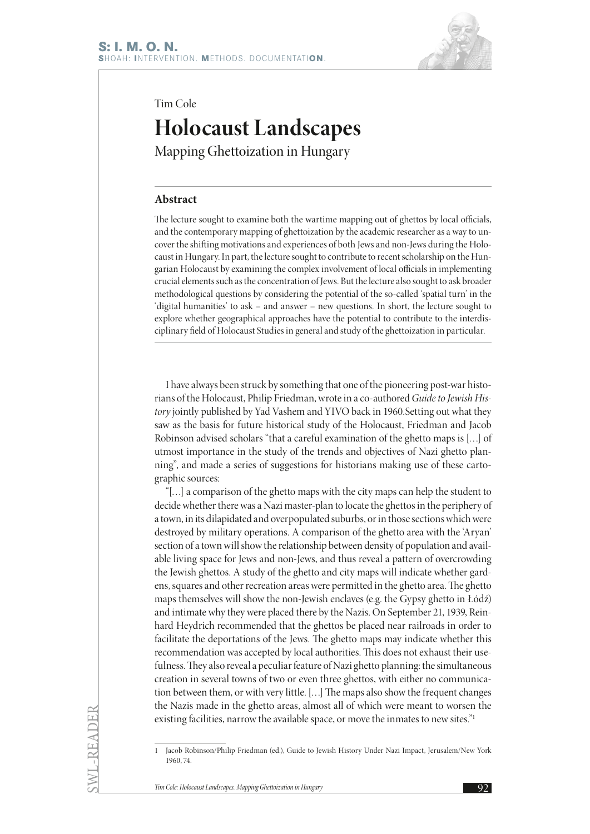

Tim Cole

# **Holocaust Landscapes**

Mapping Ghettoization in Hungary

# **Abstract**

The lecture sought to examine both the wartime mapping out of ghettos by local officials, and the contemporary mapping of ghettoization by the academic researcher as a way to uncover the shifting motivations and experiences of both Jews and non-Jews during the Holocaust in Hungary. In part, the lecture sought to contribute to recent scholarship on the Hungarian Holocaust by examining the complex involvement of local officials in implementing crucial elements such as the concentration of Jews. But the lecture also sought to ask broader methodological questions by considering the potential of the so-called 'spatial turn' in the 'digital humanities' to ask – and answer – new questions. In short, the lecture sought to explore whether geographical approaches have the potential to contribute to the interdisciplinary field of Holocaust Studies in general and study of the ghettoization in particular.

I have always been struck by something that one of the pioneering post-war historians of the Holocaust, Philip Friedman, wrote in a co-authored *Guide to Jewish History* jointly published by Yad Vashem and YIVO back in 1960.Setting out what they saw as the basis for future historical study of the Holocaust, Friedman and Jacob Robinson advised scholars "that a careful examination of the ghetto maps is […] of utmost importance in the study of the trends and objectives of Nazi ghetto planning", and made a series of suggestions for historians making use of these cartographic sources:

"[…] a comparison of the ghetto maps with the city maps can help the student to decide whether there was a Nazi master-plan to locate the ghettos in the periphery of a town, in its dilapidated and overpopulated suburbs, or in those sections which were destroyed by military operations. A comparison of the ghetto area with the 'Aryan' section of a town will show the relationship between density of population and available living space for Jews and non-Jews, and thus reveal a pattern of overcrowding the Jewish ghettos. A study of the ghetto and city maps will indicate whether gardens, squares and other recreation areas were permitted in the ghetto area. The ghetto maps themselves will show the non-Jewish enclaves (e.g. the Gypsy ghetto in Łódź) and intimate why they were placed there by the Nazis. On September 21, 1939, Reinhard Heydrich recommended that the ghettos be placed near railroads in order to facilitate the deportations of the Jews. The ghetto maps may indicate whether this recommendation was accepted by local authorities. This does not exhaust their usefulness. They also reveal a peculiar feature of Nazi ghetto planning: the simultaneous creation in several towns of two or even three ghettos, with either no communication between them, or with very little. […] The maps also show the frequent changes the Nazis made in the ghetto areas, almost all of which were meant to worsen the existing facilities, narrow the available space, or move the inmates to new sites."1

SWL-READER

<sup>1</sup> Jacob Robinson/Philip Friedman (ed.), Guide to Jewish History Under Nazi Impact, Jerusalem/New York 1960, 74.

**Tim Cole: Holocaust Landscapes. Mapping Ghettoization in Hungary 92. 92. 92. 92. 92. 1**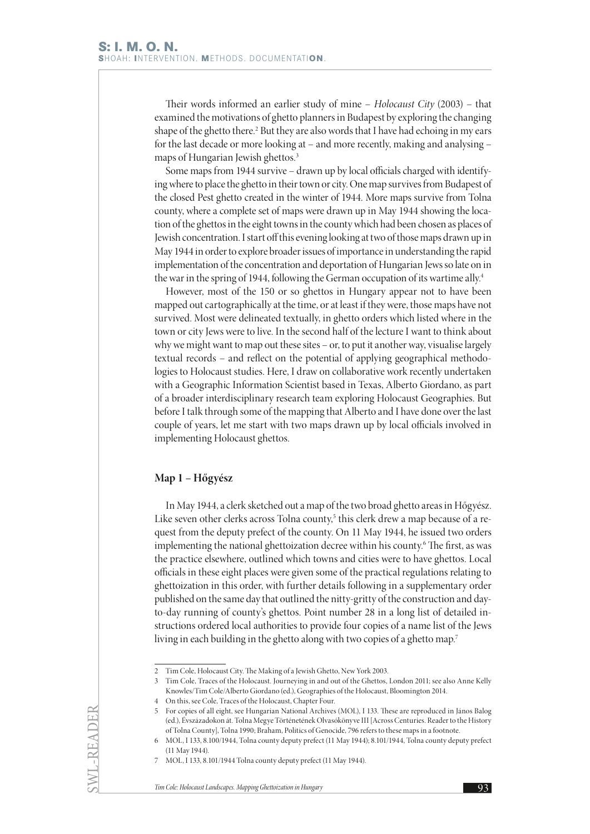Their words informed an earlier study of mine – *Holocaust City* (2003) – that examined the motivations of ghetto planners in Budapest by exploring the changing shape of the ghetto there.<sup>2</sup> But they are also words that I have had echoing in my ears for the last decade or more looking at – and more recently, making and analysing – maps of Hungarian Jewish ghettos.<sup>3</sup>

Some maps from 1944 survive – drawn up by local officials charged with identifying where to place the ghetto in their town or city. One map survives from Budapest of the closed Pest ghetto created in the winter of 1944. More maps survive from Tolna county, where a complete set of maps were drawn up in May 1944 showing the location of the ghettos in the eight towns in the county which had been chosen as places of Jewish concentration. I start off this evening looking at two of those maps drawn up in May 1944 in order to explore broader issues of importance in understanding the rapid implementation of the concentration and deportation of Hungarian Jews so late on in the war in the spring of 1944, following the German occupation of its wartime ally.<sup>4</sup>

However, most of the 150 or so ghettos in Hungary appear not to have been mapped out cartographically at the time, or at least if they were, those maps have not survived. Most were delineated textually, in ghetto orders which listed where in the town or city Jews were to live. In the second half of the lecture I want to think about why we might want to map out these sites – or, to put it another way, visualise largely textual records – and reflect on the potential of applying geographical methodologies to Holocaust studies. Here, I draw on collaborative work recently undertaken with a Geographic Information Scientist based in Texas, Alberto Giordano, as part of a broader interdisciplinary research team exploring Holocaust Geographies. But before I talk through some of the mapping that Alberto and I have done over the last couple of years, let me start with two maps drawn up by local officials involved in implementing Holocaust ghettos.

### **Map 1 – Hőgyész**

In May 1944, a clerk sketched out a map of the two broad ghetto areas in Hőgyész. Like seven other clerks across Tolna county,<sup>5</sup> this clerk drew a map because of a request from the deputy prefect of the county. On 11 May 1944, he issued two orders implementing the national ghettoization decree within his county.6 The first, as was the practice elsewhere, outlined which towns and cities were to have ghettos. Local officials in these eight places were given some of the practical regulations relating to ghettoization in this order, with further details following in a supplementary order published on the same day that outlined the nitty-gritty of the construction and dayto-day running of county's ghettos. Point number 28 in a long list of detailed instructions ordered local authorities to provide four copies of a name list of the Jews living in each building in the ghetto along with two copies of a ghetto map.<sup>7</sup>

SWL-READER

<sup>2</sup> Tim Cole, Holocaust City. The Making of a Jewish Ghetto, New York 2003.

<sup>3</sup> Tim Cole, Traces of the Holocaust. Journeying in and out of the Ghettos, London 2011; see also Anne Kelly Knowles/Tim Cole/Alberto Giordano (ed.), Geographies of the Holocaust, Bloomington 2014.

<sup>4</sup> On this, see Cole, Traces of the Holocaust, Chapter Four.

<sup>5</sup> For copies of all eight, see Hungarian National Archives (MOL), I 133. These are reproduced in János Balog (ed.), Évszázadokon át. Tolna Megye Történetének Olvasókönyve III [Across Centuries. Reader to the History of Tolna County], Tolna 1990; Braham, Politics of Genocide, 796 refers to these maps in a footnote.

<sup>6</sup> MOL, I 133, 8.100/1944, Tolna county deputy prefect (11 May 1944); 8.101/1944, Tolna county deputy prefect (11 May 1944).

<sup>7</sup> MOL, I 133, 8.101/1944 Tolna county deputy prefect (11 May 1944).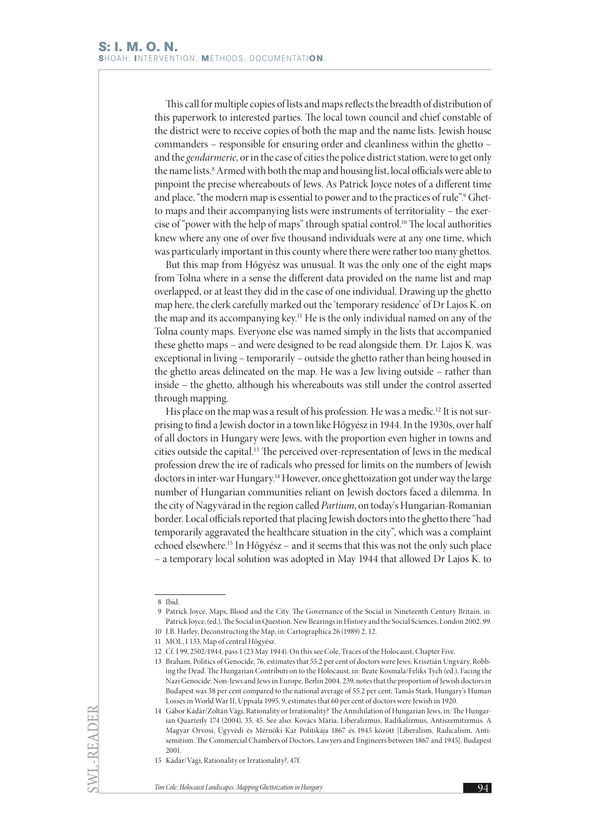This call for multiple copies of lists and maps reflects the breadth of distribution of this paperwork to interested parties. The local town council and chief constable of the district were to receive copies of both the map and the name lists. Jewish house commanders – responsible for ensuring order and cleanliness within the ghetto – and the *gendarmerie*, or in the case of cities the police district station, were to get only the name lists.<sup>8</sup> Armed with both the map and housing list, local officials were able to pinpoint the precise whereabouts of Jews. As Patrick Joyce notes of a different time and place, "the modern map is essential to power and to the practices of rule".<sup>9</sup> Ghetto maps and their accompanying lists were instruments of territoriality – the exercise of "power with the help of maps" through spatial control.10 The local authorities knew where any one of over five thousand individuals were at any one time, which was particularly important in this county where there were rather too many ghettos.

But this map from Hőgyész was unusual. It was the only one of the eight maps from Tolna where in a sense the different data provided on the name list and map overlapped, or at least they did in the case of one individual. Drawing up the ghetto map here, the clerk carefully marked out the 'temporary residence' of Dr Lajos K. on the map and its accompanying key.11 He is the only individual named on any of the Tolna county maps. Everyone else was named simply in the lists that accompanied these ghetto maps – and were designed to be read alongside them. Dr. Lajos K. was exceptional in living – temporarily – outside the ghetto rather than being housed in the ghetto areas delineated on the map. He was a Jew living outside – rather than inside – the ghetto, although his whereabouts was still under the control asserted through mapping.

His place on the map was a result of his profession. He was a medic.<sup>12</sup> It is not surprising to find a Jewish doctor in a town like Hőgyész in 1944. In the 1930s, over half of all doctors in Hungary were Jews, with the proportion even higher in towns and cities outside the capital.13 The perceived over-representation of Jews in the medical profession drew the ire of radicals who pressed for limits on the numbers of Jewish doctors in inter-war Hungary.<sup>14</sup> However, once ghettoization got under way the large number of Hungarian communities reliant on Jewish doctors faced a dilemma. In the city of Nagyvárad in the region called *Partium*, on today's Hungarian-Romanian border. Local officials reported that placing Jewish doctors into the ghetto there "had temporarily aggravated the healthcare situation in the city", which was a complaint echoed elsewhere.15 In Hőgyész – and it seems that this was not the only such place – a temporary local solution was adopted in May 1944 that allowed Dr Lajos K. to

SWL-READER

<sup>8</sup> Ibid.

<sup>9</sup> Patrick Joyce, Maps, Blood and the City. The Governance of the Social in Nineteenth Century Britain, in: Patrick Joyce, (ed.), The Social in Question. New Bearings in History and the Social Sciences, London 2002, 99. 10 J.B. Harley, Deconstructing the Map, in: Cartographica 26 (1989) 2, 12.

<sup>11</sup> MOL, I 133, Map of central Hőgyész.

<sup>12</sup> Cf. I 99, 2502/1944, pass 1 (23 May 1944). On this see Cole, Traces of the Holocaust, Chapter Five.

<sup>13</sup> Braham, Politics of Genocide, 76, estimates that 55.2 per cent of doctors were Jews; Krisztián Ungváry, Robbing the Dead. The Hungarian Contributi on to the Holocaust, in: Beate Kosmala/Feliks Tych (ed.), Facing the Nazi Genocide: Non-Jews and Jews in Europe, Berlin 2004, 239, notes that the proportion of Jewish doctors in Budapest was 38 per cent compared to the national average of 55.2 per cent; Tamás Stark, Hungary's Human Losses in World War II, Uppsala 1995, 9, estimates that 60 per cent of doctors were Jewish in 1920.

<sup>14</sup> Gábor Kádár/Zoltán Vági, Rationality or Irrationality? The Annihilation of Hungarian Jews, in: The Hungarian Quarterly 174 (2004), 35, 45. See also: Kovács Mária, Liberalizmus, Radikalizmus, Antiszemitizmus. A Magyar Orvosi, Ügyvédi és Mérnöki Kar Politikája 1867 és 1945 között [Liberalism, Radicalism, Antisemitism. The Commercial Chambers of Doctors, Lawyers and Engineers between 1867 and 1945], Budapest 2001.

<sup>15</sup> Kádár/Vági, Rationality or Irrationality?, 47f.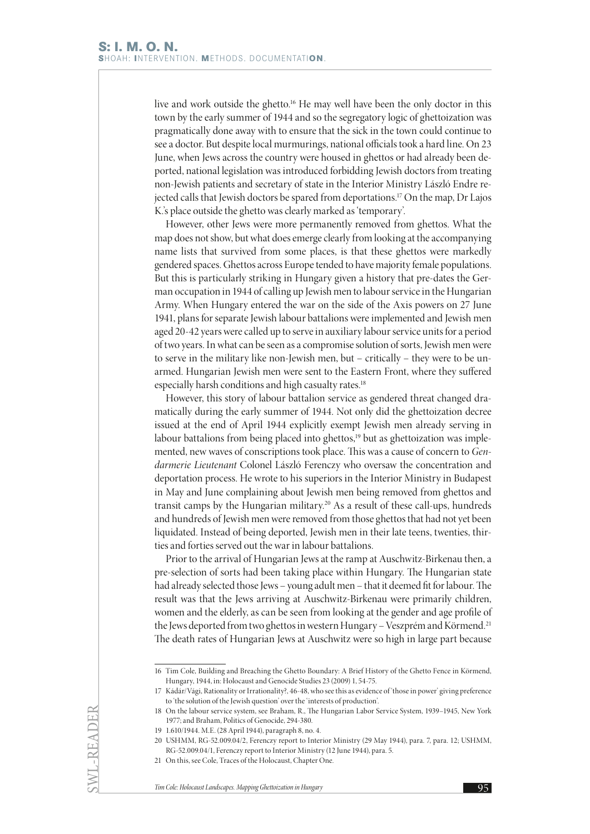live and work outside the ghetto.<sup>16</sup> He may well have been the only doctor in this town by the early summer of 1944 and so the segregatory logic of ghettoization was pragmatically done away with to ensure that the sick in the town could continue to see a doctor. But despite local murmurings, national officials took a hard line. On 23 June, when Jews across the country were housed in ghettos or had already been deported, national legislation was introduced forbidding Jewish doctors from treating non-Jewish patients and secretary of state in the Interior Ministry László Endre rejected calls that Jewish doctors be spared from deportations.<sup>17</sup> On the map, Dr Lajos K.'s place outside the ghetto was clearly marked as 'temporary'.

However, other Jews were more permanently removed from ghettos. What the map does not show, but what does emerge clearly from looking at the accompanying name lists that survived from some places, is that these ghettos were markedly gendered spaces. Ghettos across Europe tended to have majority female populations. But this is particularly striking in Hungary given a history that pre-dates the German occupation in 1944 of calling up Jewish men to labour service in the Hungarian Army. When Hungary entered the war on the side of the Axis powers on 27 June 1941, plans for separate Jewish labour battalions were implemented and Jewish men aged 20-42 years were called up to serve in auxiliary labour service units for a period of two years. In what can be seen as a compromise solution of sorts, Jewish men were to serve in the military like non-Jewish men, but – critically – they were to be unarmed. Hungarian Jewish men were sent to the Eastern Front, where they suffered especially harsh conditions and high casualty rates.<sup>18</sup>

However, this story of labour battalion service as gendered threat changed dramatically during the early summer of 1944. Not only did the ghettoization decree issued at the end of April 1944 explicitly exempt Jewish men already serving in labour battalions from being placed into ghettos,<sup>19</sup> but as ghettoization was implemented, new waves of conscriptions took place. This was a cause of concern to *Gendarmerie Lieutenant* Colonel László Ferenczy who oversaw the concentration and deportation process. He wrote to his superiors in the Interior Ministry in Budapest in May and June complaining about Jewish men being removed from ghettos and transit camps by the Hungarian military.20 As a result of these call-ups, hundreds and hundreds of Jewish men were removed from those ghettos that had not yet been liquidated. Instead of being deported, Jewish men in their late teens, twenties, thirties and forties served out the war in labour battalions.

Prior to the arrival of Hungarian Jews at the ramp at Auschwitz-Birkenau then, a pre-selection of sorts had been taking place within Hungary. The Hungarian state had already selected those Jews – young adult men – that it deemed fit for labour. The result was that the Jews arriving at Auschwitz-Birkenau were primarily children, women and the elderly, as can be seen from looking at the gender and age profile of the Jews deported from two ghettos in western Hungary - Veszprém and Körmend.<sup>21</sup> The death rates of Hungarian Jews at Auschwitz were so high in large part because

SWL-READER

<sup>16</sup> Tim Cole, Building and Breaching the Ghetto Boundary: A Brief History of the Ghetto Fence in Körmend, Hungary, 1944, in: Holocaust and Genocide Studies 23 (2009) 1, 54-75.

<sup>17</sup> Kádár/Vági, Rationality or Irrationality?, 46-48, who see this as evidence of 'those in power' giving preference to 'the solution of the Jewish question' over the 'interests of production'.

<sup>18</sup> On the labour service system, see Braham, R., The Hungarian Labor Service System, 1939–1945, New York 1977; and Braham, Politics of Genocide, 294-380.

<sup>19</sup> 1.610/1944. M.E. (28 April 1944), paragraph 8, no. 4.

<sup>20</sup> USHMM, RG-52.009.04/2, Ferenczy report to Interior Ministry (29 May 1944), para. 7, para. 12; USHMM, RG-52.009.04/1, Ferenczy report to Interior Ministry (12 June 1944), para. 5.

<sup>21</sup> On this, see Cole, Traces of the Holocaust, Chapter One.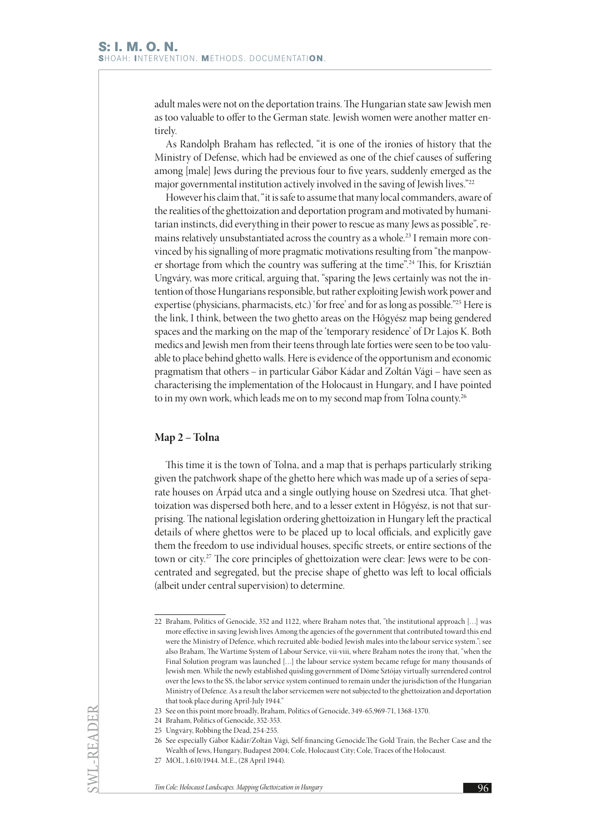adult males were not on the deportation trains. The Hungarian state saw Jewish men as too valuable to offer to the German state. Jewish women were another matter entirely.

As Randolph Braham has reflected, "it is one of the ironies of history that the Ministry of Defense, which had be enviewed as one of the chief causes of suffering among [male] Jews during the previous four to five years, suddenly emerged as the major governmental institution actively involved in the saving of Jewish lives."22

However his claim that, "it is safe to assume that many local commanders, aware of the realities of the ghettoization and deportation program and motivated by humanitarian instincts, did everything in their power to rescue as many Jews as possible", remains relatively unsubstantiated across the country as a whole.<sup>23</sup> I remain more convinced by his signalling of more pragmatic motivations resulting from "the manpower shortage from which the country was suffering at the time".24 This, for Krisztián Ungváry, was more critical, arguing that, "sparing the Jews certainly was not the intention of those Hungarians responsible, but rather exploiting Jewish work power and expertise (physicians, pharmacists, etc.) 'for free' and for as long as possible."25 Here is the link, I think, between the two ghetto areas on the Hőgyész map being gendered spaces and the marking on the map of the 'temporary residence' of Dr Lajos K. Both medics and Jewish men from their teens through late forties were seen to be too valuable to place behind ghetto walls. Here is evidence of the opportunism and economic pragmatism that others – in particular Gábor Kádar and Zoltán Vági – have seen as characterising the implementation of the Holocaust in Hungary, and I have pointed to in my own work, which leads me on to my second map from Tolna county.<sup>26</sup>

## **Map 2 – Tolna**

This time it is the town of Tolna, and a map that is perhaps particularly striking given the patchwork shape of the ghetto here which was made up of a series of separate houses on Árpád utca and a single outlying house on Szedresi utca. That ghettoization was dispersed both here, and to a lesser extent in Hőgyész, is not that surprising. The national legislation ordering ghettoization in Hungary left the practical details of where ghettos were to be placed up to local officials, and explicitly gave them the freedom to use individual houses, specific streets, or entire sections of the town or city.27 The core principles of ghettoization were clear: Jews were to be concentrated and segregated, but the precise shape of ghetto was left to local officials (albeit under central supervision) to determine.

SWL-READER

<sup>22</sup> Braham, Politics of Genocide, 352 and 1122, where Braham notes that, "the institutional approach […] was more effective in saving Jewish lives Among the agencies of the government that contributed toward this end were the Ministry of Defence, which recruited able-bodied Jewish males into the labour service system."; see also Braham, The Wartime System of Labour Service, vii-viii, where Braham notes the irony that, "when the Final Solution program was launched […] the labour service system became refuge for many thousands of Jewish men. While the newly established quisling government of Döme Sztójay virtually surrendered control over the Jews to the SS, the labor service system continued to remain under the jurisdiction of the Hungarian Ministry of Defence. As a result the labor servicemen were not subjected to the ghettoization and deportation that took place during April-July 1944."

<sup>23</sup> See on this point more broadly, Braham, Politics of Genocide, 349-65,969-71, 1368-1370.

<sup>24</sup> Braham, Politics of Genocide, 352-353.

<sup>25</sup> Ungváry, Robbing the Dead, 254-255.

<sup>26</sup> See especially Gábor Kádár/Zoltán Vági, Self-financing Genocide.The Gold Train, the Becher Case and the Wealth of Jews, Hungary, Budapest 2004; Cole, Holocaust City; Cole, Traces of the Holocaust.

<sup>27</sup> MOL, 1.610/1944. M.E., (28 April 1944).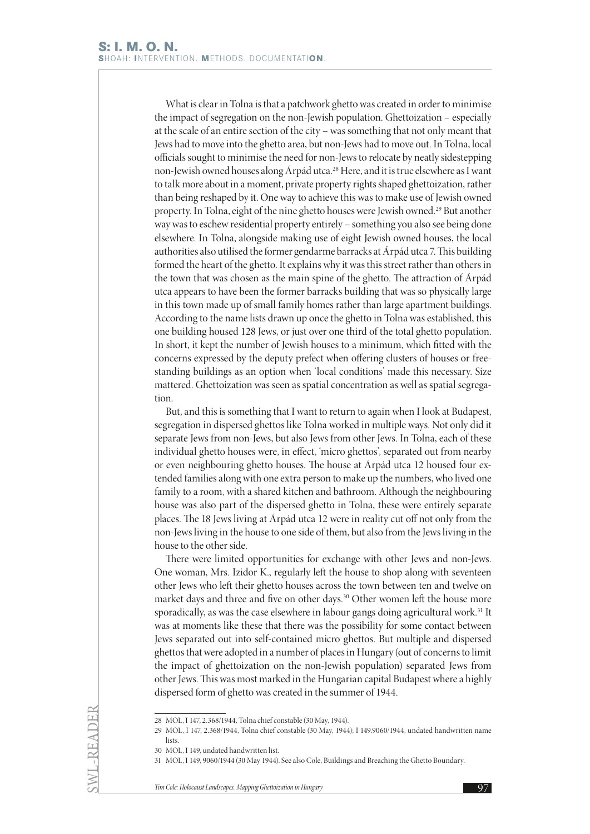What is clear in Tolna is that a patchwork ghetto was created in order to minimise the impact of segregation on the non-Jewish population. Ghettoization – especially at the scale of an entire section of the city – was something that not only meant that Jews had to move into the ghetto area, but non-Jews had to move out. In Tolna, local officials sought to minimise the need for non-Jews to relocate by neatly sidestepping non-Jewish owned houses along Árpád utca.28 Here, and it is true elsewhere as I want to talk more about in a moment, private property rights shaped ghettoization, rather than being reshaped by it. One way to achieve this was to make use of Jewish owned property. In Tolna, eight of the nine ghetto houses were Jewish owned.<sup>29</sup> But another way was to eschew residential property entirely – something you also see being done elsewhere. In Tolna, alongside making use of eight Jewish owned houses, the local authorities also utilised the former gendarme barracks at Árpád utca 7. This building formed the heart of the ghetto. It explains why it was this street rather than others in the town that was chosen as the main spine of the ghetto. The attraction of Árpád utca appears to have been the former barracks building that was so physically large in this town made up of small family homes rather than large apartment buildings. According to the name lists drawn up once the ghetto in Tolna was established, this one building housed 128 Jews, or just over one third of the total ghetto population. In short, it kept the number of Jewish houses to a minimum, which fitted with the concerns expressed by the deputy prefect when offering clusters of houses or freestanding buildings as an option when 'local conditions' made this necessary. Size mattered. Ghettoization was seen as spatial concentration as well as spatial segregation.

But, and this is something that I want to return to again when I look at Budapest, segregation in dispersed ghettos like Tolna worked in multiple ways. Not only did it separate Jews from non-Jews, but also Jews from other Jews. In Tolna, each of these individual ghetto houses were, in effect, 'micro ghettos', separated out from nearby or even neighbouring ghetto houses. The house at Árpád utca 12 housed four extended families along with one extra person to make up the numbers, who lived one family to a room, with a shared kitchen and bathroom. Although the neighbouring house was also part of the dispersed ghetto in Tolna, these were entirely separate places. The 18 Jews living at Árpád utca 12 were in reality cut off not only from the non-Jews living in the house to one side of them, but also from the Jews living in the house to the other side.

There were limited opportunities for exchange with other Jews and non-Jews. One woman, Mrs. Izidor K., regularly left the house to shop along with seventeen other Jews who left their ghetto houses across the town between ten and twelve on market days and three and five on other days.30 Other women left the house more sporadically, as was the case elsewhere in labour gangs doing agricultural work.<sup>31</sup> It was at moments like these that there was the possibility for some contact between Jews separated out into self-contained micro ghettos. But multiple and dispersed ghettos that were adopted in a number of places in Hungary (out of concerns to limit the impact of ghettoization on the non-Jewish population) separated Jews from other Jews. This was most marked in the Hungarian capital Budapest where a highly dispersed form of ghetto was created in the summer of 1944.

SWL-READER

<sup>28</sup> MOL, I 147, 2.368/1944, Tolna chief constable (30 May, 1944).

<sup>29</sup> MOL, I 147, 2.368/1944, Tolna chief constable (30 May, 1944); I 149,9060/1944, undated handwritten name lists.

<sup>30</sup> MOL, I 149, undated handwritten list.

<sup>31</sup> MOL, I 149, 9060/1944 (30 May 1944). See also Cole, Buildings and Breaching the Ghetto Boundary.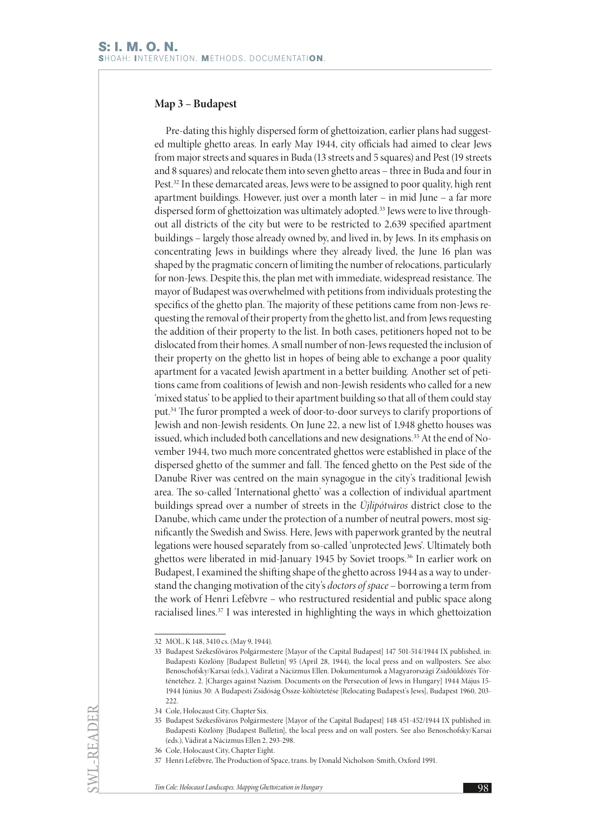# **Map 3 – Budapest**

Pre-dating this highly dispersed form of ghettoization, earlier plans had suggested multiple ghetto areas. In early May 1944, city officials had aimed to clear Jews from major streets and squares in Buda (13 streets and 5 squares) and Pest (19 streets and 8 squares) and relocate them into seven ghetto areas – three in Buda and four in Pest.<sup>32</sup> In these demarcated areas, Jews were to be assigned to poor quality, high rent apartment buildings. However, just over a month later – in mid June – a far more dispersed form of ghettoization was ultimately adopted.<sup>33</sup> Jews were to live throughout all districts of the city but were to be restricted to 2,639 specified apartment buildings – largely those already owned by, and lived in, by Jews. In its emphasis on concentrating Jews in buildings where they already lived, the June 16 plan was shaped by the pragmatic concern of limiting the number of relocations, particularly for non-Jews. Despite this, the plan met with immediate, widespread resistance. The mayor of Budapest was overwhelmed with petitions from individuals protesting the specifics of the ghetto plan. The majority of these petitions came from non-Jews requesting the removal of their property from the ghetto list, and from Jews requesting the addition of their property to the list. In both cases, petitioners hoped not to be dislocated from their homes. A small number of non-Jews requested the inclusion of their property on the ghetto list in hopes of being able to exchange a poor quality apartment for a vacated Jewish apartment in a better building. Another set of petitions came from coalitions of Jewish and non-Jewish residents who called for a new 'mixed status' to be applied to their apartment building so that all of them could stay put.34 The furor prompted a week of door-to-door surveys to clarify proportions of Jewish and non-Jewish residents. On June 22, a new list of 1,948 ghetto houses was issued, which included both cancellations and new designations.<sup>35</sup> At the end of November 1944, two much more concentrated ghettos were established in place of the dispersed ghetto of the summer and fall. The fenced ghetto on the Pest side of the Danube River was centred on the main synagogue in the city's traditional Jewish area. The so-called 'International ghetto' was a collection of individual apartment buildings spread over a number of streets in the *Újlipótváros* district close to the Danube, which came under the protection of a number of neutral powers, most significantly the Swedish and Swiss. Here, Jews with paperwork granted by the neutral legations were housed separately from so-called 'unprotected Jews'. Ultimately both ghettos were liberated in mid-January 1945 by Soviet troops.<sup>36</sup> In earlier work on Budapest, I examined the shifting shape of the ghetto across 1944 as a way to understand the changing motivation of the city's *doctors of space* – borrowing a term from the work of Henri Lefèbvre – who restructured residential and public space along racialised lines.37 I was interested in highlighting the ways in which ghettoization

SWL-READER

<sup>32</sup> MOL, K 148, 3410 cs. (May 9, 1944).

<sup>33</sup> Budapest Székesfőváros Polgármestere [Mayor of the Capital Budapest] 147 501-514/1944 IX published, in: Budapesti Közlöny [Budapest Bulletin] 95 (April 28, 1944), the local press and on wallposters. See also: Benoschofsky/Karsai (eds.), Vádirat a Nácizmus Ellen. Dokumentumok a Magyarországi Zsidóüldözés Történetéhez. 2. [Charges against Nazism. Documents on the Persecution of Jews in Hungary] 1944 Május 15- 1944 Június 30: A Budapesti Zsidóság Össze-költöztetése [Relocating Budapest's Jews], Budapest 1960, 203- 222.

<sup>34</sup> Cole, Holocaust City, Chapter Six.

<sup>35</sup> Budapest Székesfőváros Polgármestere [Mayor of the Capital Budapest] 148 451-452/1944 IX published in: Budapesti Közlöny [Budapest Bulletin], the local press and on wall posters. See also Benoschofsky/Karsai (eds.), Vádirat a Nácizmus Ellen 2, 293-298.

<sup>36</sup> Cole, Holocaust City, Chapter Eight.

<sup>37</sup> Henri Lefèbvre, The Production of Space, trans. by Donald Nicholson-Smith, Oxford 1991.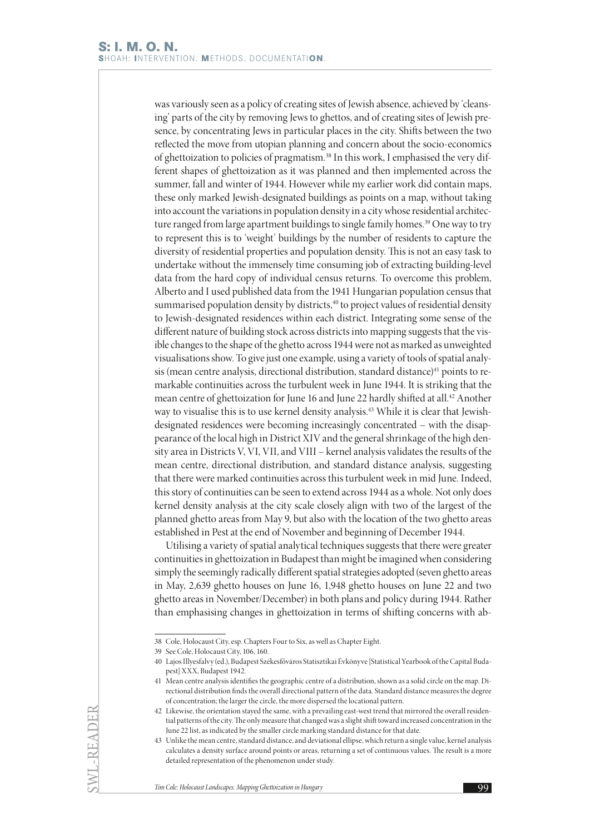was variously seen as a policy of creating sites of Jewish absence, achieved by 'cleansing' parts of the city by removing Jews to ghettos, and of creating sites of Jewish presence, by concentrating Jews in particular places in the city. Shifts between the two reflected the move from utopian planning and concern about the socio-economics of ghettoization to policies of pragmatism.38 In this work, I emphasised the very different shapes of ghettoization as it was planned and then implemented across the summer, fall and winter of 1944. However while my earlier work did contain maps, these only marked Jewish-designated buildings as points on a map, without taking into account the variations in population density in a city whose residential architecture ranged from large apartment buildings to single family homes.<sup>39</sup> One way to try to represent this is to 'weight' buildings by the number of residents to capture the diversity of residential properties and population density. This is not an easy task to undertake without the immensely time consuming job of extracting building-level data from the hard copy of individual census returns. To overcome this problem, Alberto and I used published data from the 1941 Hungarian population census that summarised population density by districts,<sup>40</sup> to project values of residential density to Jewish-designated residences within each district. Integrating some sense of the different nature of building stock across districts into mapping suggests that the visible changes to the shape of the ghetto across 1944 were not as marked as unweighted visualisations show. To give just one example, using a variety of tools of spatial analysis (mean centre analysis, directional distribution, standard distance)<sup>41</sup> points to remarkable continuities across the turbulent week in June 1944. It is striking that the mean centre of ghettoization for June 16 and June 22 hardly shifted at all.42 Another way to visualise this is to use kernel density analysis.<sup>43</sup> While it is clear that Jewishdesignated residences were becoming increasingly concentrated – with the disappearance of the local high in District XIV and the general shrinkage of the high density area in Districts V, VI, VII, and VIII – kernel analysis validates the results of the mean centre, directional distribution, and standard distance analysis, suggesting that there were marked continuities across this turbulent week in mid June. Indeed, this story of continuities can be seen to extend across 1944 as a whole. Not only does kernel density analysis at the city scale closely align with two of the largest of the planned ghetto areas from May 9, but also with the location of the two ghetto areas established in Pest at the end of November and beginning of December 1944.

Utilising a variety of spatial analytical techniques suggests that there were greater continuities in ghettoization in Budapest than might be imagined when considering simply the seemingly radically different spatial strategies adopted (seven ghetto areas in May, 2,639 ghetto houses on June 16, 1,948 ghetto houses on June 22 and two ghetto areas in November/December) in both plans and policy during 1944. Rather than emphasising changes in ghettoization in terms of shifting concerns with ab-

SWL-READER

<sup>38</sup> Cole, Holocaust City, esp. Chapters Four to Six, as well as Chapter Eight.

<sup>39</sup> See Cole, Holocaust City, 106, 160.

<sup>40</sup> Lajos Illyesfalvy (ed.), Budapest Székesfőváros Statisztikai Évkönyve [Statistical Yearbook of the Capital Budapest] XXX, Budapest 1942.

<sup>41</sup> Mean centre analysis identifies the geographic centre of a distribution, shown as a solid circle on the map. Directional distribution finds the overall directional pattern of the data. Standard distance measures the degree of concentration; the larger the circle, the more dispersed the locational pattern.

<sup>42</sup> Likewise, the orientation stayed the same, with a prevailing east-west trend that mirrored the overall residential patterns of the city. The only measure that changed was a slight shift toward increased concentration in the June 22 list, as indicated by the smaller circle marking standard distance for that date.

<sup>43</sup> Unlike the mean centre, standard distance, and deviational ellipse, which return a single value, kernel analysis calculates a density surface around points or areas, returning a set of continuous values. The result is a more detailed representation of the phenomenon under study.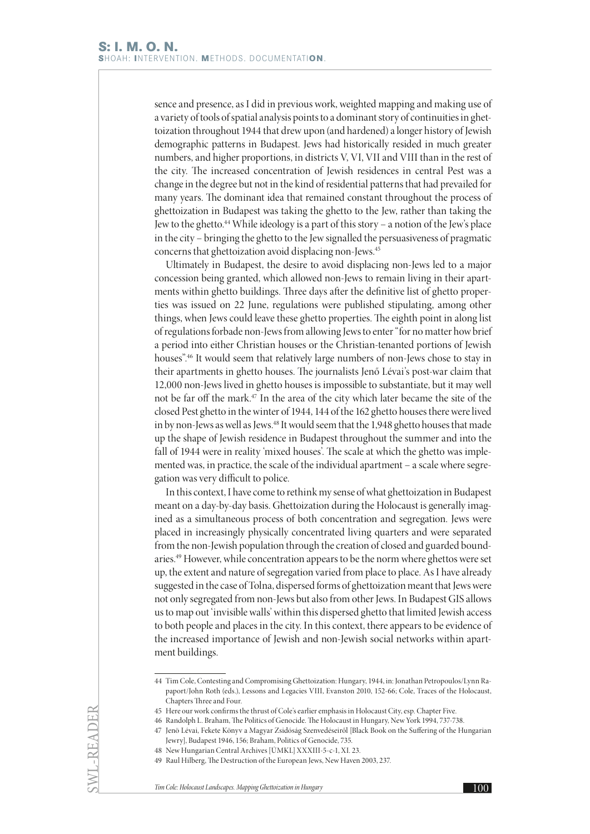sence and presence, as I did in previous work, weighted mapping and making use of a variety of tools of spatial analysis points to a dominant story of continuities in ghettoization throughout 1944 that drew upon (and hardened) a longer history of Jewish demographic patterns in Budapest. Jews had historically resided in much greater numbers, and higher proportions, in districts V, VI, VII and VIII than in the rest of the city. The increased concentration of Jewish residences in central Pest was a change in the degree but not in the kind of residential patterns that had prevailed for many years. The dominant idea that remained constant throughout the process of ghettoization in Budapest was taking the ghetto to the Jew, rather than taking the Jew to the ghetto.<sup>44</sup> While ideology is a part of this story – a notion of the Jew's place in the city – bringing the ghetto to the Jew signalled the persuasiveness of pragmatic concerns that ghettoization avoid displacing non-Jews.45

Ultimately in Budapest, the desire to avoid displacing non-Jews led to a major concession being granted, which allowed non-Jews to remain living in their apartments within ghetto buildings. Three days after the definitive list of ghetto properties was issued on 22 June, regulations were published stipulating, among other things, when Jews could leave these ghetto properties. The eighth point in along list of regulations forbade non-Jews from allowing Jews to enter "for no matter how brief a period into either Christian houses or the Christian-tenanted portions of Jewish houses".46 It would seem that relatively large numbers of non-Jews chose to stay in their apartments in ghetto houses. The journalists Jenő Lévai's post-war claim that 12,000 non-Jews lived in ghetto houses is impossible to substantiate, but it may well not be far off the mark.<sup>47</sup> In the area of the city which later became the site of the closed Pest ghetto in the winter of 1944, 144 of the 162 ghetto houses there were lived in by non-Jews as well as Jews.48 It would seem that the 1,948 ghetto houses that made up the shape of Jewish residence in Budapest throughout the summer and into the fall of 1944 were in reality 'mixed houses'. The scale at which the ghetto was implemented was, in practice, the scale of the individual apartment – a scale where segregation was very difficult to police.

In this context, I have come to rethink my sense of what ghettoization in Budapest meant on a day-by-day basis. Ghettoization during the Holocaust is generally imagined as a simultaneous process of both concentration and segregation. Jews were placed in increasingly physically concentrated living quarters and were separated from the non-Jewish population through the creation of closed and guarded boundaries.49 However, while concentration appears to be the norm where ghettos were set up, the extent and nature of segregation varied from place to place. As I have already suggested in the case of Tolna, dispersed forms of ghettoization meant that Jews were not only segregated from non-Jews but also from other Jews. In Budapest GIS allows us to map out 'invisible walls' within this dispersed ghetto that limited Jewish access to both people and places in the city. In this context, there appears to be evidence of the increased importance of Jewish and non-Jewish social networks within apartment buildings.

SWL-READER

<sup>44</sup> Tim Cole, Contesting and Compromising Ghettoization: Hungary, 1944, in: Jonathan Petropoulos/Lynn Rapaport/John Roth (eds.), Lessons and Legacies VIII, Evanston 2010, 152-66; Cole, Traces of the Holocaust, Chapters Three and Four.

<sup>45</sup> Here our work confirms the thrust of Cole's earlier emphasis in Holocaust City, esp. Chapter Five.

<sup>46</sup> Randolph L. Braham, The Politics of Genocide. The Holocaust in Hungary, New York 1994, 737-738.

<sup>47</sup> Jenö Lévai, Fekete Könyv a Magyar Zsidóság Szenvedéseiről [Black Book on the Suffering of the Hungarian Jewry], Budapest 1946, 156; Braham, Politics of Genocide, 735.

<sup>48</sup> New Hungarian Central Archives [ÚMKL] XXXIII-5-c-1, XI. 23.

<sup>49</sup> Raul Hilberg, The Destruction of the European Jews, New Haven 2003, 237.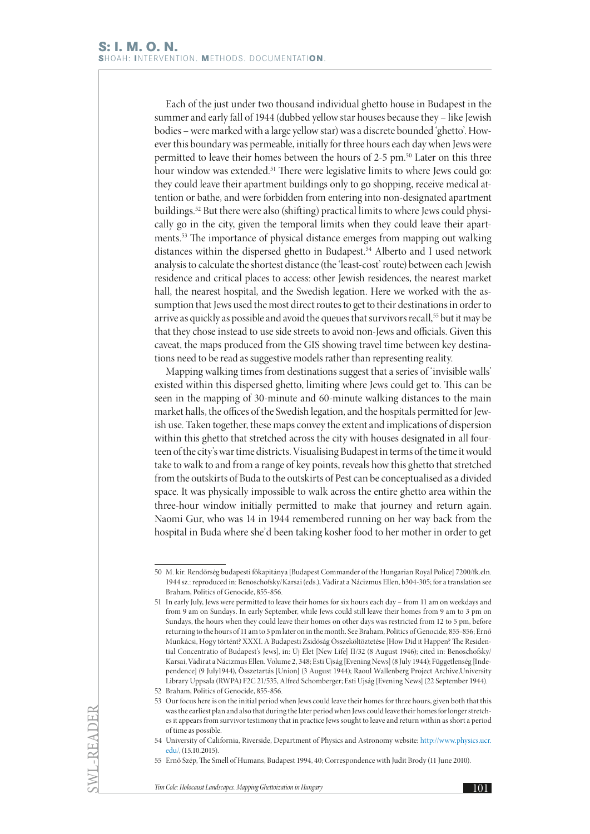Each of the just under two thousand individual ghetto house in Budapest in the summer and early fall of 1944 (dubbed yellow star houses because they – like Jewish bodies – were marked with a large yellow star) was a discrete bounded 'ghetto'. However this boundary was permeable, initially for three hours each day when Jews were permitted to leave their homes between the hours of 2-5 pm.50 Later on this three hour window was extended.<sup>51</sup> There were legislative limits to where Jews could go: they could leave their apartment buildings only to go shopping, receive medical attention or bathe, and were forbidden from entering into non-designated apartment buildings.52 But there were also (shifting) practical limits to where Jews could physically go in the city, given the temporal limits when they could leave their apartments.53 The importance of physical distance emerges from mapping out walking distances within the dispersed ghetto in Budapest.<sup>54</sup> Alberto and I used network analysis to calculate the shortest distance (the 'least-cost' route) between each Jewish residence and critical places to access: other Jewish residences, the nearest market hall, the nearest hospital, and the Swedish legation. Here we worked with the assumption that Jews used the most direct routes to get to their destinations in order to arrive as quickly as possible and avoid the queues that survivors recall,<sup>55</sup> but it may be that they chose instead to use side streets to avoid non-Jews and officials. Given this caveat, the maps produced from the GIS showing travel time between key destinations need to be read as suggestive models rather than representing reality.

Mapping walking times from destinations suggest that a series of 'invisible walls' existed within this dispersed ghetto, limiting where Jews could get to. This can be seen in the mapping of 30-minute and 60-minute walking distances to the main market halls, the offices of the Swedish legation, and the hospitals permitted for Jewish use. Taken together, these maps convey the extent and implications of dispersion within this ghetto that stretched across the city with houses designated in all fourteen of the city's war time districts. Visualising Budapest in terms of the time it would take to walk to and from a range of key points, reveals how this ghetto that stretched from the outskirts of Buda to the outskirts of Pest can be conceptualised as a divided space. It was physically impossible to walk across the entire ghetto area within the three-hour window initially permitted to make that journey and return again. Naomi Gur, who was 14 in 1944 remembered running on her way back from the hospital in Buda where she'd been taking kosher food to her mother in order to get

SWL-READER

<sup>50</sup> M. kir. Rendőrség budapesti főkapitánya [Budapest Commander of the Hungarian Royal Police] 7200/fk.eln. 1944 sz.: reproduced in: Benoschofsky/Karsai (eds.), Vádirat a Nácizmus Ellen, b304-305; for a translation see Braham, Politics of Genocide, 855-856.

<sup>51</sup> In early July, Jews were permitted to leave their homes for six hours each day – from 11 am on weekdays and from 9 am on Sundays. In early September, while Jews could still leave their homes from 9 am to 3 pm on Sundays, the hours when they could leave their homes on other days was restricted from 12 to 5 pm, before returning to the hours of 11 am to 5 pm later on in the month. See Braham, Politics of Genocide, 855-856; Ernő Munkácsi, Hogy történt? XXXI. A Budapesti Zsidóság Összeköltöztetése [How Did it Happen? The Residential Concentratio of Budapest's Jews], in: Új Élet [New Life] II/32 (8 August 1946); cited in: Benoschofsky/ Karsai, Vádirat a Nácizmus Ellen. Volume 2, 348; Esti Újság [Evening News] (8 July 1944); Függetlenség [Independence] (9 July1944), Összetartás [Union] (3 August 1944); Raoul Wallenberg Project Archive,University Library Uppsala (RWPA) F2C 21/535, Alfred Schomberger; Esti Ujság [Evening News] (22 September 1944).

<sup>52</sup> Braham, Politics of Genocide, 855-856.

<sup>53</sup> Our focus here is on the initial period when Jews could leave their homes for three hours, given both that this was the earliest plan and also that during the later period when Jews could leave their homes for longer stretches it appears from survivor testimony that in practice Jews sought to leave and return within as short a period of time as possible.

<sup>54</sup> University of California, Riverside, Department of Physics and Astronomy website: [http://www.physics.ucr.](http://www.physics.ucr.edu/) [edu/,](http://www.physics.ucr.edu/) (15.10.2015).

<sup>55</sup> Ernő Szép, The Smell of Humans, Budapest 1994, 40; Correspondence with Judit Brody (11 June 2010).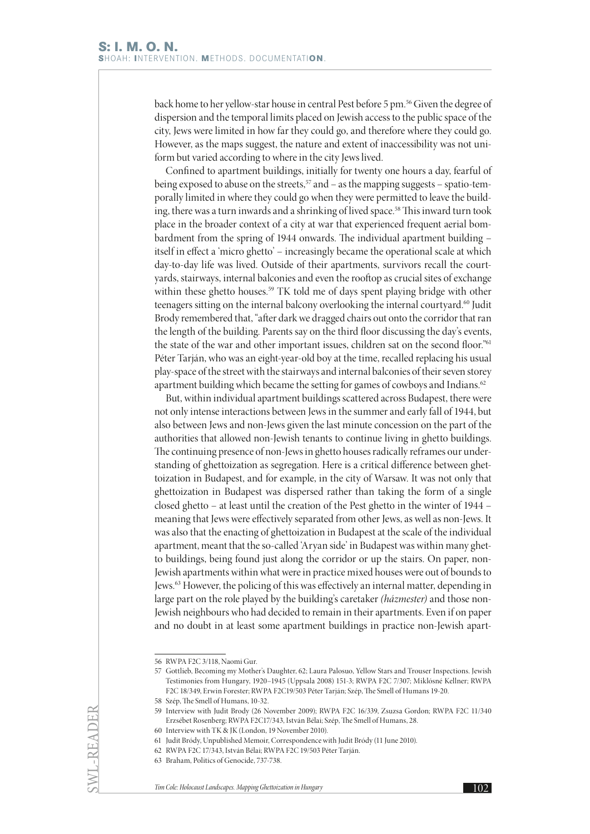back home to her yellow-star house in central Pest before 5 pm.56 Given the degree of dispersion and the temporal limits placed on Jewish access to the public space of the city, Jews were limited in how far they could go, and therefore where they could go. However, as the maps suggest, the nature and extent of inaccessibility was not uniform but varied according to where in the city Jews lived.

Confined to apartment buildings, initially for twenty one hours a day, fearful of being exposed to abuse on the streets,<sup>57</sup> and – as the mapping suggests – spatio-temporally limited in where they could go when they were permitted to leave the building, there was a turn inwards and a shrinking of lived space.<sup>58</sup> This inward turn took place in the broader context of a city at war that experienced frequent aerial bombardment from the spring of 1944 onwards. The individual apartment building – itself in effect a 'micro ghetto' – increasingly became the operational scale at which day-to-day life was lived. Outside of their apartments, survivors recall the courtyards, stairways, internal balconies and even the rooftop as crucial sites of exchange within these ghetto houses.<sup>59</sup> TK told me of days spent playing bridge with other teenagers sitting on the internal balcony overlooking the internal courtyard.<sup>60</sup> Judit Brody remembered that, "after dark we dragged chairs out onto the corridor that ran the length of the building. Parents say on the third floor discussing the day's events, the state of the war and other important issues, children sat on the second floor."61 Péter Tarján, who was an eight-year-old boy at the time, recalled replacing his usual play-space of the street with the stairways and internal balconies of their seven storey apartment building which became the setting for games of cowboys and Indians.<sup>62</sup>

But, within individual apartment buildings scattered across Budapest, there were not only intense interactions between Jews in the summer and early fall of 1944, but also between Jews and non-Jews given the last minute concession on the part of the authorities that allowed non-Jewish tenants to continue living in ghetto buildings. The continuing presence of non-Jews in ghetto houses radically reframes our understanding of ghettoization as segregation. Here is a critical difference between ghettoization in Budapest, and for example, in the city of Warsaw. It was not only that ghettoization in Budapest was dispersed rather than taking the form of a single closed ghetto – at least until the creation of the Pest ghetto in the winter of 1944 – meaning that Jews were effectively separated from other Jews, as well as non-Jews. It was also that the enacting of ghettoization in Budapest at the scale of the individual apartment, meant that the so-called 'Aryan side' in Budapest was within many ghetto buildings, being found just along the corridor or up the stairs. On paper, non-Jewish apartments within what were in practice mixed houses were out of bounds to Jews.63 However, the policing of this was effectively an internal matter, depending in large part on the role played by the building's caretaker *(házmester)* and those non-Jewish neighbours who had decided to remain in their apartments. Even if on paper and no doubt in at least some apartment buildings in practice non-Jewish apart-

SWL-READER

<sup>56</sup> RWPA F2C 3/118, Naomi Gur.

<sup>57</sup> Gottlieb, Becoming my Mother's Daughter, 62; Laura Palosuo, Yellow Stars and Trouser Inspections. Jewish Testimonies from Hungary, 1920–1945 (Uppsala 2008) 151-3; RWPA F2C 7/307; Miklósné Kellner; RWPA F2C 18/349, Erwin Forester; RWPA F2C19/503 Péter Tarján; Szép, The Smell of Humans 19-20.

<sup>58</sup> Szép, The Smell of Humans, 10-32.

<sup>59</sup> Interview with Judit Brody (26 November 2009); RWPA F2C 16/339, Zsuzsa Gordon; RWPA F2C 11/340 Erzsébet Rosenberg; RWPA F2C17/343, István Bélai; Szép, The Smell of Humans, 28.

<sup>60</sup> Interview with TK & JK (London, 19 November 2010).

<sup>61</sup> Judit Bródy, Unpublished Memoir, Correspondence with Judit Bródy (11 June 2010).

<sup>62</sup> RWPA F2C 17/343, István Bélai; RWPA F2C 19/503 Péter Tarján.

<sup>63</sup> Braham, Politics of Genocide, 737-738.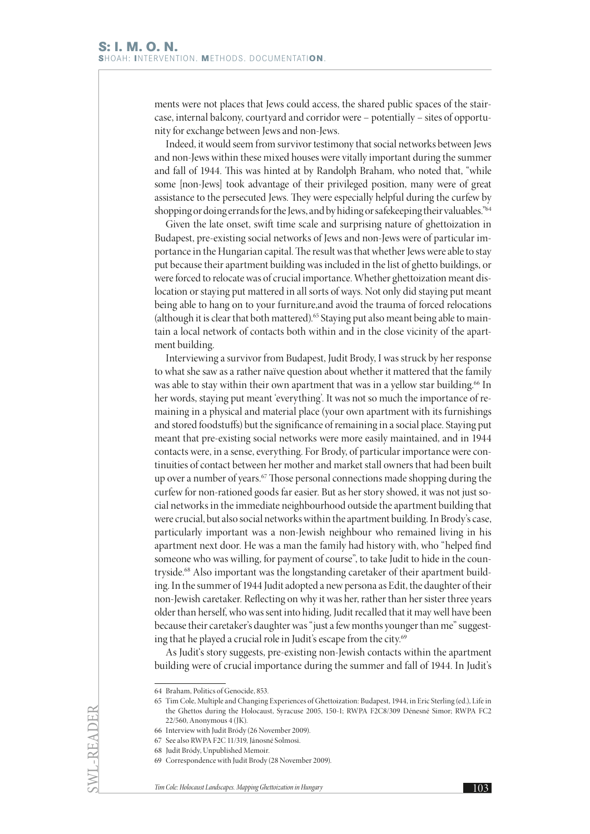ments were not places that Jews could access, the shared public spaces of the staircase, internal balcony, courtyard and corridor were – potentially – sites of opportunity for exchange between Jews and non-Jews.

Indeed, it would seem from survivor testimony that social networks between Jews and non-Jews within these mixed houses were vitally important during the summer and fall of 1944. This was hinted at by Randolph Braham, who noted that, "while some [non-Jews] took advantage of their privileged position, many were of great assistance to the persecuted Jews. They were especially helpful during the curfew by shopping or doing errands for the Jews, and by hiding or safekeeping their valuables."<sup>64</sup>

Given the late onset, swift time scale and surprising nature of ghettoization in Budapest, pre-existing social networks of Jews and non-Jews were of particular importance in the Hungarian capital. The result was that whether Jews were able to stay put because their apartment building was included in the list of ghetto buildings, or were forced to relocate was of crucial importance. Whether ghettoization meant dislocation or staying put mattered in all sorts of ways. Not only did staying put meant being able to hang on to your furniture,and avoid the trauma of forced relocations (although it is clear that both mattered).<sup>65</sup> Staying put also meant being able to maintain a local network of contacts both within and in the close vicinity of the apartment building.

Interviewing a survivor from Budapest, Judit Brody, I was struck by her response to what she saw as a rather naïve question about whether it mattered that the family was able to stay within their own apartment that was in a yellow star building.<sup>66</sup> In her words, staying put meant 'everything'. It was not so much the importance of remaining in a physical and material place (your own apartment with its furnishings and stored foodstuffs) but the significance of remaining in a social place. Staying put meant that pre-existing social networks were more easily maintained, and in 1944 contacts were, in a sense, everything. For Brody, of particular importance were continuities of contact between her mother and market stall owners that had been built up over a number of years.<sup>67</sup> Those personal connections made shopping during the curfew for non-rationed goods far easier. But as her story showed, it was not just social networks in the immediate neighbourhood outside the apartment building that were crucial, but also social networks within the apartment building. In Brody's case, particularly important was a non-Jewish neighbour who remained living in his apartment next door. He was a man the family had history with, who "helped find someone who was willing, for payment of course", to take Judit to hide in the countryside.68 Also important was the longstanding caretaker of their apartment building. In the summer of 1944 Judit adopted a new persona as Edit, the daughter of their non-Jewish caretaker. Reflecting on why it was her, rather than her sister three years older than herself, who was sent into hiding, Judit recalled that it may well have been because their caretaker's daughter was "just a few months younger than me" suggesting that he played a crucial role in Judit's escape from the city.<sup>69</sup>

As Judit's story suggests, pre-existing non-Jewish contacts within the apartment building were of crucial importance during the summer and fall of 1944. In Judit's

SWL-READER

<sup>64</sup> Braham, Politics of Genocide, 853.

<sup>65</sup> Tim Cole, Multiple and Changing Experiences of Ghettoization: Budapest, 1944, in Eric Sterling (ed.), Life in the Ghettos during the Holocaust, Syracuse 2005, 150-1; RWPA F2C8/309 Dénesné Simor; RWPA FC2 22/560, Anonymous 4 (JK).

<sup>66</sup> Interview with Judit Bródy (26 November 2009).

<sup>67</sup> See also RWPA F2C 11/319, Jánosné Solmosi.

<sup>68</sup> Judit Bródy, Unpublished Memoir.

<sup>69</sup> Correspondence with Judit Brody (28 November 2009).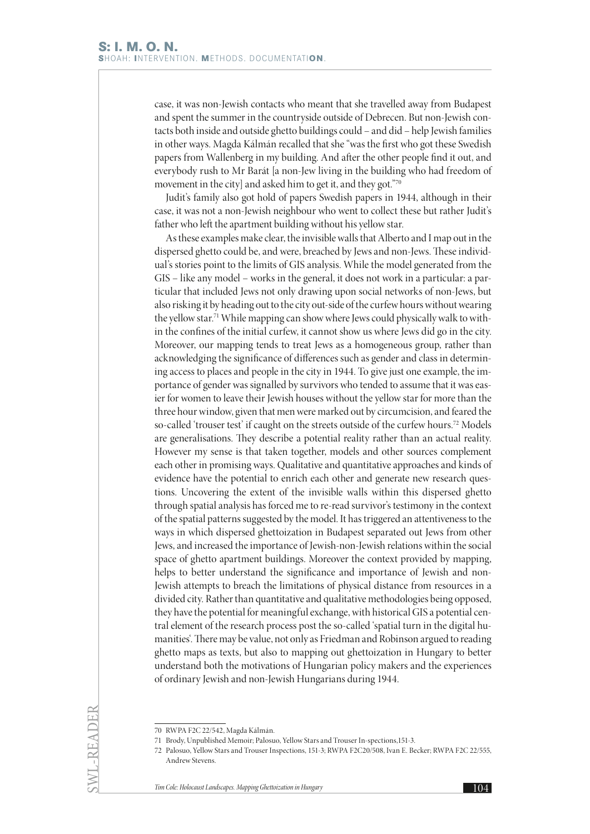case, it was non-Jewish contacts who meant that she travelled away from Budapest and spent the summer in the countryside outside of Debrecen. But non-Jewish contacts both inside and outside ghetto buildings could – and did – help Jewish families in other ways. Magda Kálmán recalled that she "was the first who got these Swedish papers from Wallenberg in my building. And after the other people find it out, and everybody rush to Mr Barát [a non-Jew living in the building who had freedom of movement in the city] and asked him to get it, and they got."70

Judit's family also got hold of papers Swedish papers in 1944, although in their case, it was not a non-Jewish neighbour who went to collect these but rather Judit's father who left the apartment building without his yellow star.

As these examples make clear, the invisible walls that Alberto and I map out in the dispersed ghetto could be, and were, breached by Jews and non-Jews. These individual's stories point to the limits of GIS analysis. While the model generated from the GIS – like any model – works in the general, it does not work in a particular: a particular that included Jews not only drawing upon social networks of non-Jews, but also risking it by heading out to the city out-side of the curfew hours without wearing the yellow star.<sup>71</sup> While mapping can show where Jews could physically walk to within the confines of the initial curfew, it cannot show us where Jews did go in the city. Moreover, our mapping tends to treat Jews as a homogeneous group, rather than acknowledging the significance of differences such as gender and class in determining access to places and people in the city in 1944. To give just one example, the importance of gender was signalled by survivors who tended to assume that it was easier for women to leave their Jewish houses without the yellow star for more than the three hour window, given that men were marked out by circumcision, and feared the so-called 'trouser test' if caught on the streets outside of the curfew hours.<sup>72</sup> Models are generalisations. They describe a potential reality rather than an actual reality. However my sense is that taken together, models and other sources complement each other in promising ways. Qualitative and quantitative approaches and kinds of evidence have the potential to enrich each other and generate new research questions. Uncovering the extent of the invisible walls within this dispersed ghetto through spatial analysis has forced me to re-read survivor's testimony in the context of the spatial patterns suggested by the model. It has triggered an attentiveness to the ways in which dispersed ghettoization in Budapest separated out Jews from other Jews, and increased the importance of Jewish-non-Jewish relations within the social space of ghetto apartment buildings. Moreover the context provided by mapping, helps to better understand the significance and importance of Jewish and non-Jewish attempts to breach the limitations of physical distance from resources in a divided city. Rather than quantitative and qualitative methodologies being opposed, they have the potential for meaningful exchange, with historical GIS a potential central element of the research process post the so-called 'spatial turn in the digital humanities'. There may be value, not only as Friedman and Robinson argued to reading ghetto maps as texts, but also to mapping out ghettoization in Hungary to better understand both the motivations of Hungarian policy makers and the experiences of ordinary Jewish and non-Jewish Hungarians during 1944.

SWL-READER

<sup>70</sup> RWPA F2C 22/542, Magda Kálmán.

<sup>71</sup> Brody, Unpublished Memoir; Palosuo, Yellow Stars and Trouser In-spections,151-3.

<sup>72</sup> Palosuo, Yellow Stars and Trouser Inspections, 151-3; RWPA F2C20/508, Ivan E. Becker; RWPA F2C 22/555, Andrew Stevens.